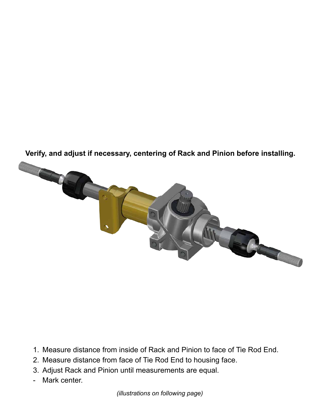



- 1. Measure distance from inside of Rack and Pinion to face of Tie Rod End.
- 2. Measure distance from face of Tie Rod End to housing face.
- 3. Adjust Rack and Pinion until measurements are equal.
- Mark center.

*(illustrations on following page)*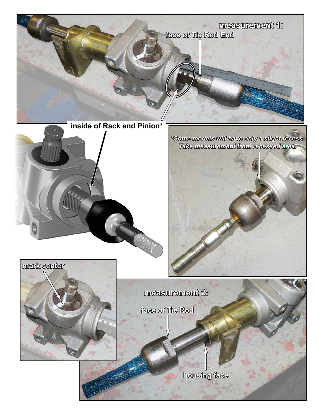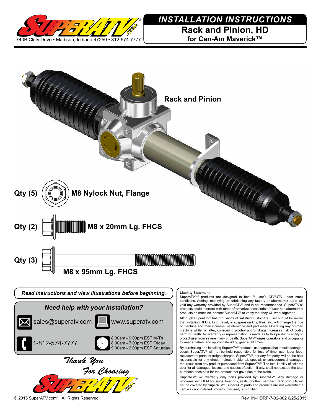

## *INSTALLATION INSTRUCTIONS*

**Rack and Pinion, HD for Can-Am Maverick™**



By purchasing and installing SuperATV® products, user agrees that should damages occur, SuperATV® will not be held responsible for loss of time, use, labor fees, replacement parts, or freight charges. SuperATV®, nor any 3rd party, will not be held responsible for any direct, indirect, incidental, special, or consequential damages that result from any product purchased from SuperATV®. The total liability of seller to user for all damages, losses, and causes of action, if any, shall not exceed the total purchase price paid for the product that gave rise to the claim.

SuperATV® will warranty only parts provided by SuperATV®. Any damage or problems with OEM housings, bearings, seals, or other manufacturers' products will not be covered by SuperATV®. SuperATV® parts and products are not warrantied if item was not installed properly, misused, or modified.

*Thank You*

*For Choosing*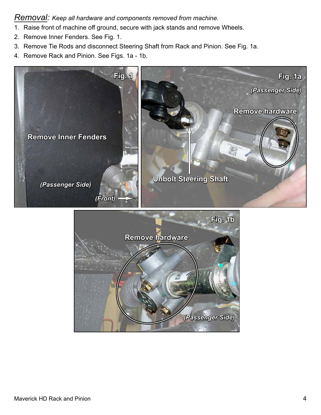## *Removal: Keep all hardware and components removed from machine.*

- 1. Raise front of machine off ground, secure with jack stands and remove Wheels.
- 2. Remove Inner Fenders. See Fig. 1.
- 3. Remove Tie Rods and disconnect Steering Shaft from Rack and Pinion. See Fig. 1a.
- 4. Remove Rack and Pinion. See Figs. 1a 1b.



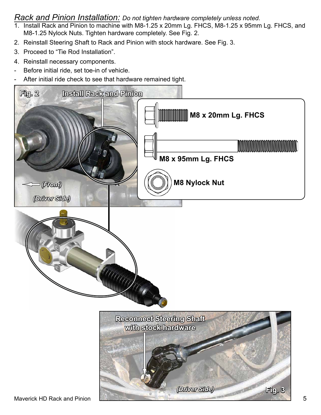## *Rack and Pinion Installation: Do not tighten hardware completely unless noted.*

- 1. Install Rack and Pinion to machine with M8-1.25 x 20mm Lg. FHCS, M8-1.25 x 95mm Lg. FHCS, and M8-1.25 Nylock Nuts. Tighten hardware completely. See Fig. 2.
- 2. Reinstall Steering Shaft to Rack and Pinion with stock hardware. See Fig. 3.
- 3. Proceed to "Tie Rod Installation".
- 4. Reinstall necessary components.
- Before initial ride, set toe-in of vehicle.
- After initial ride check to see that hardware remained tight.

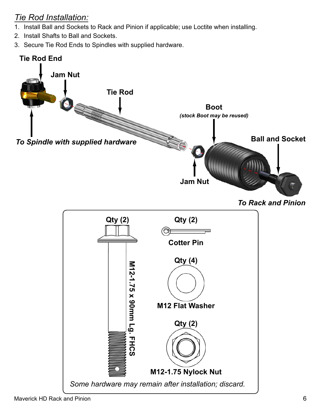## *Tie Rod Installation:*

- 1. Install Ball and Sockets to Rack and Pinion if applicable; use Loctite when installing.
- 2. Install Shafts to Ball and Sockets.
- 3. Secure Tie Rod Ends to Spindles with supplied hardware.